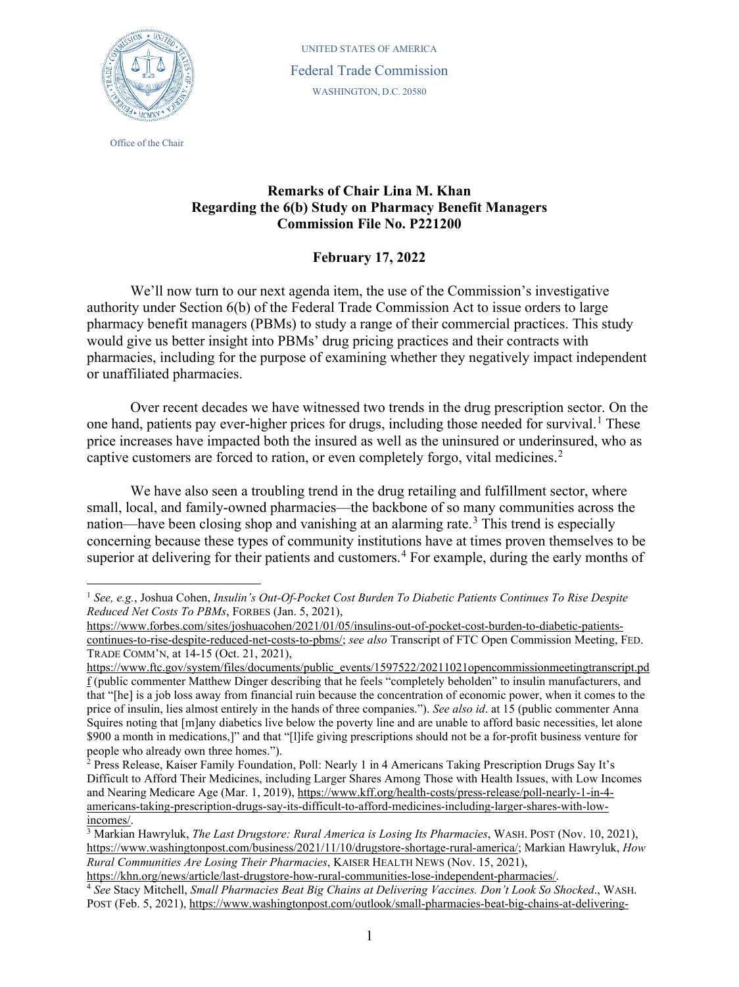

Office of the Chair

UNITED STATES OF AMERICA Federal Trade Commission WASHINGTON, D.C. 20580

## **Remarks of Chair Lina M. Khan Regarding the 6(b) Study on Pharmacy Benefit Managers Commission File No. P221200**

## <span id="page-0-4"></span>**February 17, 2022**

We'll now turn to our next agenda item, the use of the Commission's investigative authority under Section 6(b) of the Federal Trade Commission Act to issue orders to large pharmacy benefit managers (PBMs) to study a range of their commercial practices. This study would give us better insight into PBMs' drug pricing practices and their contracts with pharmacies, including for the purpose of examining whether they negatively impact independent or unaffiliated pharmacies.

Over recent decades we have witnessed two trends in the drug prescription sector. On the one hand, patients pay ever-higher prices for drugs, including those needed for survival.<sup>[1](#page-0-0)</sup> These price increases have impacted both the insured as well as the uninsured or underinsured, who as captive customers are forced to ration, or even completely forgo, vital medicines.<sup>[2](#page-0-1)</sup>

We have also seen a troubling trend in the drug retailing and fulfillment sector, where small, local, and family-owned pharmacies—the backbone of so many communities across the nation—have been closing shop and vanishing at an alarming rate.<sup>[3](#page-0-2)</sup> This trend is especially concerning because these types of community institutions have at times proven themselves to be superior at delivering for their patients and customers.<sup>[4](#page-0-3)</sup> For example, during the early months of

<span id="page-0-0"></span><sup>1</sup> *See, e.g.*, Joshua Cohen, *Insulin's Out-Of-Pocket Cost Burden To Diabetic Patients Continues To Rise Despite Reduced Net Costs To PBMs*, FORBES (Jan. 5, 2021),

[https://www.forbes.com/sites/joshuacohen/2021/01/05/insulins-out-of-pocket-cost-burden-to-diabetic-patients](https://www.forbes.com/sites/joshuacohen/2021/01/05/insulins-out-of-pocket-cost-burden-to-diabetic-patients-continues-to-rise-despite-reduced-net-costs-to-pbms/)[continues-to-rise-despite-reduced-net-costs-to-pbms/;](https://www.forbes.com/sites/joshuacohen/2021/01/05/insulins-out-of-pocket-cost-burden-to-diabetic-patients-continues-to-rise-despite-reduced-net-costs-to-pbms/) *see also* Transcript of FTC Open Commission Meeting, FED. TRADE COMM'N, at 14-15 (Oct. 21, 2021),

[https://www.ftc.gov/system/files/documents/public\\_events/1597522/20211021opencommissionmeetingtranscript.pd](https://www.ftc.gov/system/files/documents/public_events/1597522/20211021opencommissionmeetingtranscript.pdf) [f](https://www.ftc.gov/system/files/documents/public_events/1597522/20211021opencommissionmeetingtranscript.pdf) (public commenter Matthew Dinger describing that he feels "completely beholden" to insulin manufacturers, and that "[he] is a job loss away from financial ruin because the concentration of economic power, when it comes to the price of insulin, lies almost entirely in the hands of three companies."). *See also id*. at 15 (public commenter Anna Squires noting that [m]any diabetics live below the poverty line and are unable to afford basic necessities, let alone \$900 a month in medications,]" and that "[l]ife giving prescriptions should not be a for-profit business venture for people who already own three homes.").

<span id="page-0-1"></span><sup>&</sup>lt;sup>2</sup> Press Release, Kaiser Family Foundation, Poll: Nearly 1 in 4 Americans Taking Prescription Drugs Say It's Difficult to Afford Their Medicines, including Larger Shares Among Those with Health Issues, with Low Incomes and Nearing Medicare Age (Mar. 1, 2019), [https://www.kff.org/health-costs/press-release/poll-nearly-1-in-4](https://www.kff.org/health-costs/press-release/poll-nearly-1-in-4-americans-taking-prescription-drugs-say-its-difficult-to-afford-medicines-including-larger-shares-with-low-incomes/) [americans-taking-prescription-drugs-say-its-difficult-to-afford-medicines-including-larger-shares-with-low](https://www.kff.org/health-costs/press-release/poll-nearly-1-in-4-americans-taking-prescription-drugs-say-its-difficult-to-afford-medicines-including-larger-shares-with-low-incomes/)[incomes/.](https://www.kff.org/health-costs/press-release/poll-nearly-1-in-4-americans-taking-prescription-drugs-say-its-difficult-to-afford-medicines-including-larger-shares-with-low-incomes/)

<span id="page-0-2"></span><sup>3</sup> Markian Hawryluk, *The Last Drugstore: Rural America is Losing Its Pharmacies*, WASH. POST (Nov. 10, 2021), [https://www.washingtonpost.com/business/2021/11/10/drugstore-shortage-rural-america/;](https://www.washingtonpost.com/business/2021/11/10/drugstore-shortage-rural-america/) Markian Hawryluk, *How Rural Communities Are Losing Their Pharmacies*, KAISER HEALTH NEWS (Nov. 15, 2021),

[https://khn.org/news/article/last-drugstore-how-rural-communities-lose-independent-pharmacies/.](https://khn.org/news/article/last-drugstore-how-rural-communities-lose-independent-pharmacies/)

<span id="page-0-3"></span><sup>4</sup> *See* Stacy Mitchell, *Small Pharmacies Beat Big Chains at Delivering Vaccines. Don't Look So Shocked*., WASH. POST (Feb. 5, 2021), [https://www.washingtonpost.com/outlook/small-pharmacies-beat-big-chains-at-delivering-](https://www.washingtonpost.com/outlook/small-pharmacies-beat-big-chains-at-delivering-vaccines-dont-look-so-shocked/2021/02/05/6bb307ec-671b-11eb-886d-5264d4ceb46d_story.html)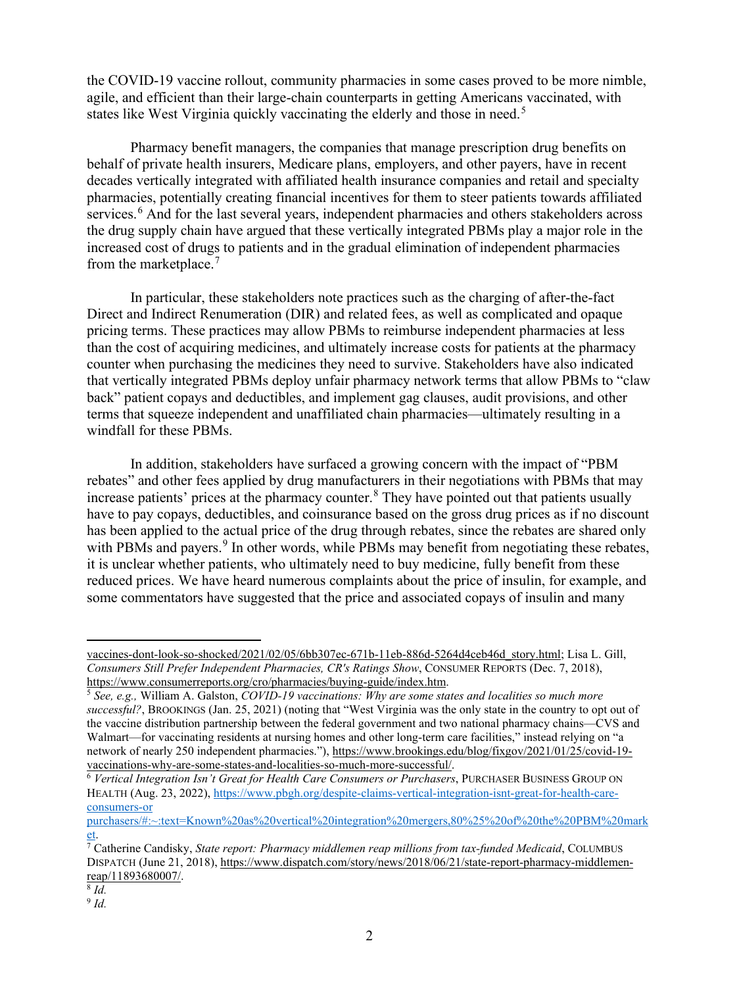the COVID-19 vaccine rollout, community pharmacies in some cases proved to be more nimble, agile, and efficient than their large-chain counterparts in getting Americans vaccinated, with states like West Virginia quickly vaccinating the elderly and those in need.<sup>[5](#page-1-0)</sup>

Pharmacy benefit managers, the companies that manage prescription drug benefits on behalf of private health insurers, Medicare plans, employers, and other payers, have in recent decades vertically integrated with affiliated health insurance companies and retail and specialty pharmacies, potentially creating financial incentives for them to steer patients towards affiliated services.<sup>[6](#page-1-1)</sup> And for the last several years, independent pharmacies and others stakeholders across the drug supply chain have argued that these vertically integrated PBMs play a major role in the increased cost of drugs to patients and in the gradual elimination of independent pharmacies from the marketplace.<sup>[7](#page-1-2)</sup>

In particular, these stakeholders note practices such as the charging of after-the-fact Direct and Indirect Renumeration (DIR) and related fees, as well as complicated and opaque pricing terms. These practices may allow PBMs to reimburse independent pharmacies at less than the cost of acquiring medicines, and ultimately increase costs for patients at the pharmacy counter when purchasing the medicines they need to survive. Stakeholders have also indicated that vertically integrated PBMs deploy unfair pharmacy network terms that allow PBMs to "claw back" patient copays and deductibles, and implement gag clauses, audit provisions, and other terms that squeeze independent and unaffiliated chain pharmacies—ultimately resulting in a windfall for these PBMs.

In addition, stakeholders have surfaced a growing concern with the impact of "PBM rebates" and other fees applied by drug manufacturers in their negotiations with PBMs that may increase patients' prices at the pharmacy counter. [8](#page-1-3) They have pointed out that patients usually have to pay copays, deductibles, and coinsurance based on the gross drug prices as if no discount has been applied to the actual price of the drug through rebates, since the rebates are shared only with PBMs and payers.<sup>[9](#page-1-4)</sup> In other words, while PBMs may benefit from negotiating these rebates, it is unclear whether patients, who ultimately need to buy medicine, fully benefit from these reduced prices. We have heard numerous complaints about the price of insulin, for example, and some commentators have suggested that the price and associated copays of insulin and many

[vaccines-dont-look-so-shocked/2021/02/05/6bb307ec-671b-11eb-886d-5264d4ceb46d\\_story.html;](https://www.washingtonpost.com/outlook/small-pharmacies-beat-big-chains-at-delivering-vaccines-dont-look-so-shocked/2021/02/05/6bb307ec-671b-11eb-886d-5264d4ceb46d_story.html) Lisa L. Gill, *Consumers Still Prefer Independent Pharmacies, CR's Ratings Show*, CONSUMER REPORTS (Dec. 7, 2018), [https://www.consumerreports.org/cro/pharmacies/buying-guide/index.htm.](https://www.consumerreports.org/cro/pharmacies/buying-guide/index.htm)

<span id="page-1-0"></span><sup>5</sup> *See, e.g.,* William A. Galston, *COVID-19 vaccinations: Why are some states and localities so much more successful?*, BROOKINGS (Jan. 25, 2021) (noting that "West Virginia was the only state in the country to opt out of the vaccine distribution partnership between the federal government and two national pharmacy chains—CVS and Walmart—for vaccinating residents at nursing homes and other long-term care facilities," instead relying on "a network of nearly 250 independent pharmacies."), [https://www.brookings.edu/blog/fixgov/2021/01/25/covid-19](https://www.brookings.edu/blog/fixgov/2021/01/25/covid-19-vaccinations-why-are-some-states-and-localities-so-much-more-successful/) [vaccinations-why-are-some-states-and-localities-so-much-more-successful/.](https://www.brookings.edu/blog/fixgov/2021/01/25/covid-19-vaccinations-why-are-some-states-and-localities-so-much-more-successful/)

<span id="page-1-1"></span><sup>6</sup> *Vertical Integration Isn't Great for Health Care Consumers or Purchasers*, PURCHASER BUSINESS GROUP ON HEALTH (Aug. 23, 2022), [https://www.pbgh.org/despite-claims-vertical-integration-isnt-great-for-health-care](https://www.pbgh.org/despite-claims-vertical-integration-isnt-great-for-health-care-consumers-or%20purchasers/#:%7E:text=Known%20as%20vertical%20integration%20mergers,80%25%20of%20the%20PBM%20market)[consumers-or](https://www.pbgh.org/despite-claims-vertical-integration-isnt-great-for-health-care-consumers-or%20purchasers/#:%7E:text=Known%20as%20vertical%20integration%20mergers,80%25%20of%20the%20PBM%20market) 

[purchasers/#:~:text=Known%20as%20vertical%20integration%20mergers,80%25%20of%20the%20PBM%20mark](https://www.pbgh.org/despite-claims-vertical-integration-isnt-great-for-health-care-consumers-or%20purchasers/#:%7E:text=Known%20as%20vertical%20integration%20mergers,80%25%20of%20the%20PBM%20market) [et.](https://www.pbgh.org/despite-claims-vertical-integration-isnt-great-for-health-care-consumers-or%20purchasers/#:%7E:text=Known%20as%20vertical%20integration%20mergers,80%25%20of%20the%20PBM%20market)

<span id="page-1-2"></span><sup>7</sup> Catherine Candisky, *State report: Pharmacy middlemen reap millions from tax-funded Medicaid*, COLUMBUS DISPATCH (June 21, 2018)[, https://www.dispatch.com/story/news/2018/06/21/state-report-pharmacy-middlemen](https://www.dispatch.com/story/news/2018/06/21/state-report-pharmacy-middlemen-reap/11893680007/)[reap/11893680007/.](https://www.dispatch.com/story/news/2018/06/21/state-report-pharmacy-middlemen-reap/11893680007/)

<span id="page-1-3"></span><sup>8</sup> *Id.*

<span id="page-1-4"></span><sup>9</sup> *Id.*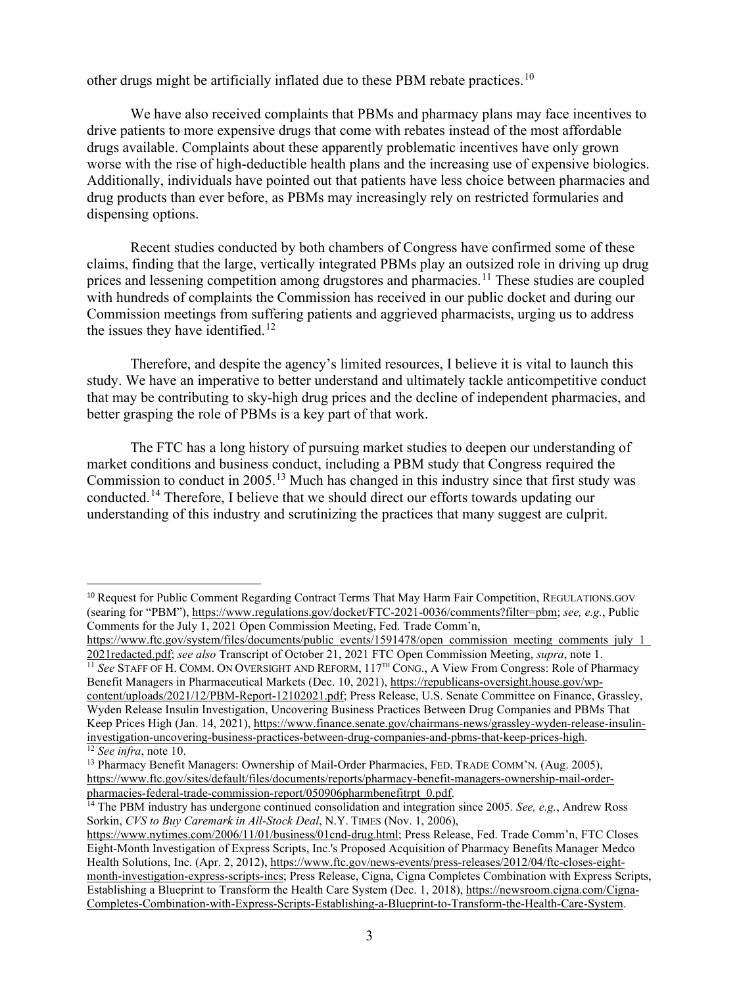<span id="page-2-0"></span>other drugs might be artificially inflated due to these PBM rebate practices.<sup>[10](#page-2-1)</sup>

We have also received complaints that PBMs and pharmacy plans may face incentives to drive patients to more expensive drugs that come with rebates instead of the most affordable drugs available. Complaints about these apparently problematic incentives have only grown worse with the rise of high-deductible health plans and the increasing use of expensive biologics. Additionally, individuals have pointed out that patients have less choice between pharmacies and drug products than ever before, as PBMs may increasingly rely on restricted formularies and dispensing options.

Recent studies conducted by both chambers of Congress have confirmed some of these claims, finding that the large, vertically integrated PBMs play an outsized role in driving up drug prices and lessening competition among drugstores and pharmacies.<sup>[11](#page-2-2)</sup> These studies are coupled with hundreds of complaints the Commission has received in our public docket and during our Commission meetings from suffering patients and aggrieved pharmacists, urging us to address the issues they have identified.<sup>[12](#page-2-3)</sup>

Therefore, and despite the agency's limited resources, I believe it is vital to launch this study. We have an imperative to better understand and ultimately tackle anticompetitive conduct that may be contributing to sky-high drug prices and the decline of independent pharmacies, and better grasping the role of PBMs is a key part of that work.

The FTC has a long history of pursuing market studies to deepen our understanding of market conditions and business conduct, including a PBM study that Congress required the Commission to conduct in 2005.<sup>[13](#page-2-4)</sup> Much has changed in this industry since that first study was conducted.<sup>[14](#page-2-5)</sup> Therefore, I believe that we should direct our efforts towards updating our understanding of this industry and scrutinizing the practices that many suggest are culprit.

<span id="page-2-2"></span>Benefit Managers in Pharmaceutical Markets (Dec. 10, 2021), [https://republicans-oversight.house.gov/wp](https://republicans-oversight.house.gov/wp-content/uploads/2021/12/PBM-Report-12102021.pdf)[content/uploads/2021/12/PBM-Report-12102021.pdf;](https://republicans-oversight.house.gov/wp-content/uploads/2021/12/PBM-Report-12102021.pdf) Press Release, U.S. Senate Committee on Finance, Grassley, Wyden Release Insulin Investigation, Uncovering Business Practices Between Drug Companies and PBMs That Keep Prices High (Jan. 14, 2021), [https://www.finance.senate.gov/chairmans-news/grassley-wyden-release-insulin](https://www.finance.senate.gov/chairmans-news/grassley-wyden-release-insulin-investigation-uncovering-business-practices-between-drug-companies-and-pbms-that-keep-prices-high)[investigation-uncovering-business-practices-between-drug-companies-and-pbms-that-keep-prices-high.](https://www.finance.senate.gov/chairmans-news/grassley-wyden-release-insulin-investigation-uncovering-business-practices-between-drug-companies-and-pbms-that-keep-prices-high) <sup>12</sup> *See infra*, not[e 10.](#page-2-0)

<span id="page-2-1"></span><sup>10</sup> Request for Public Comment Regarding Contract Terms That May Harm Fair Competition, REGULATIONS.GOV (searing for "PBM"), [https://www.regulations.gov/docket/FTC-2021-0036/comments?filter=pbm;](https://www.regulations.gov/docket/FTC-2021-0036/comments?filter=pbm) *see, e.g.*, Public Comments for the July 1, 2021 Open Commission Meeting, Fed. Trade Comm'n,

[https://www.ftc.gov/system/files/documents/public\\_events/1591478/open\\_commission\\_meeting\\_comments\\_july\\_1\\_](https://www.ftc.gov/system/files/documents/public_events/1591478/open_commission_meeting_comments_july_1_2021redacted.pdf) 2021redacted.pdf; *see also* Transcript of October 21, 2021 FTC Open Commission Meeting, *supra*, note [1.](#page-0-4)<br><sup>11</sup> *See* STAFF OF H. COMM. ON OVERSIGHT AND REFORM, 117<sup>TH</sup> CONG., A View From Congress: Role of Pharmacy

<span id="page-2-4"></span><span id="page-2-3"></span><sup>&</sup>lt;sup>13</sup> Pharmacy Benefit Managers: Ownership of Mail-Order Pharmacies, FED. TRADE COMM'N. (Aug. 2005), [https://www.ftc.gov/sites/default/files/documents/reports/pharmacy-benefit-managers-ownership-mail-order](https://www.ftc.gov/sites/default/files/documents/reports/pharmacy-benefit-managers-ownership-mail-order-pharmacies-federal-trade-commission-report/050906pharmbenefitrpt_0.pdf)[pharmacies-federal-trade-commission-report/050906pharmbenefitrpt\\_0.pdf.](https://www.ftc.gov/sites/default/files/documents/reports/pharmacy-benefit-managers-ownership-mail-order-pharmacies-federal-trade-commission-report/050906pharmbenefitrpt_0.pdf)

<span id="page-2-5"></span><sup>14</sup> The PBM industry has undergone continued consolidation and integration since 2005. *See, e.g.*, Andrew Ross Sorkin, *CVS to Buy Caremark in All-Stock Deal*, N.Y. TIMES (Nov. 1, 2006),

[https://www.nytimes.com/2006/11/01/business/01cnd-drug.html;](https://www.nytimes.com/2006/11/01/business/01cnd-drug.html) Press Release, Fed. Trade Comm'n, FTC Closes Eight-Month Investigation of Express Scripts, Inc.'s Proposed Acquisition of Pharmacy Benefits Manager Medco Health Solutions, Inc. (Apr. 2, 2012), [https://www.ftc.gov/news-events/press-releases/2012/04/ftc-closes-eight](https://www.ftc.gov/news-events/press-releases/2012/04/ftc-closes-eight-month-investigation-express-scripts-incs)[month-investigation-express-scripts-incs;](https://www.ftc.gov/news-events/press-releases/2012/04/ftc-closes-eight-month-investigation-express-scripts-incs) Press Release, Cigna, Cigna Completes Combination with Express Scripts, Establishing a Blueprint to Transform the Health Care System (Dec. 1, 2018), [https://newsroom.cigna.com/Cigna-](https://newsroom.cigna.com/Cigna-Completes-Combination-with-Express-Scripts-Establishing-a-Blueprint-to-Transform-the-Health-Care-System)[Completes-Combination-with-Express-Scripts-Establishing-a-Blueprint-to-Transform-the-Health-Care-System.](https://newsroom.cigna.com/Cigna-Completes-Combination-with-Express-Scripts-Establishing-a-Blueprint-to-Transform-the-Health-Care-System)